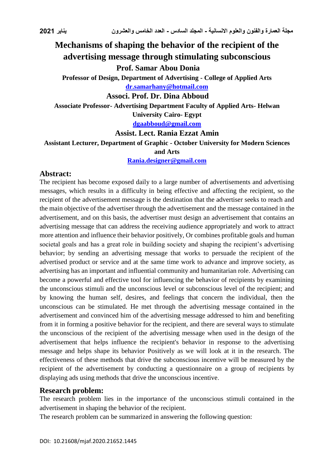# **Mechanisms of shaping the behavior of the recipient of the advertising message through stimulating subconscious**

**Prof. Samar Abou Donia**

**Professor of Design, Department of Advertising - College of Applied Arts [dr.samarhany@hotmail.com](mailto:dr.samarhany@hotmail.com)**

#### **Associ. Prof. Dr. Dina Abboud**

**Associate Professor- Advertising Department Faculty of Applied Arts- Helwan University Cairo- Egypt**

**[dgaabboud@gmail.com](mailto:dgaabboud@gmail.com)**

#### **Assist. Lect. Rania Ezzat Amin**

**Assistant Lecturer, Department of Graphic - October University for Modern Sciences** 

#### **and Arts**

**[Rania.designer@gmail.com](mailto:Rania.designer@gmail.com)**

## **Abstract:**

The recipient has become exposed daily to a large number of advertisements and advertising messages, which results in a difficulty in being effective and affecting the recipient, so the recipient of the advertisement message is the destination that the advertiser seeks to reach and the main objective of the advertiser through the advertisement and the message contained in the advertisement, and on this basis, the advertiser must design an advertisement that contains an advertising message that can address the receiving audience appropriately and work to attract more attention and influence their behavior positively, Or combines profitable goals and human societal goals and has a great role in building society and shaping the recipient's advertising behavior; by sending an advertising message that works to persuade the recipient of the advertised product or service and at the same time work to advance and improve society, as advertising has an important and influential community and humanitarian role. Advertising can become a powerful and effective tool for influencing the behavior of recipients by examining the unconscious stimuli and the unconscious level or subconscious level of the recipient; and by knowing the human self, desires, and feelings that concern the individual, then the unconscious can be stimulated. He met through the advertising message contained in the advertisement and convinced him of the advertising message addressed to him and benefiting from it in forming a positive behavior for the recipient, and there are several ways to stimulate the unconscious of the recipient of the advertising message when used in the design of the advertisement that helps influence the recipient's behavior in response to the advertising message and helps shape its behavior Positively as we will look at it in the research. The effectiveness of these methods that drive the subconscious incentive will be measured by the recipient of the advertisement by conducting a questionnaire on a group of recipients by displaying ads using methods that drive the unconscious incentive.

## **Research problem:**

The research problem lies in the importance of the unconscious stimuli contained in the advertisement in shaping the behavior of the recipient.

The research problem can be summarized in answering the following question: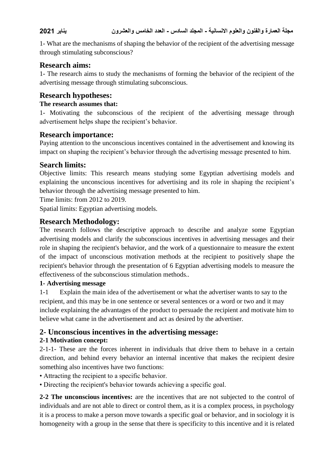1- What are the mechanisms of shaping the behavior of the recipient of the advertising message through stimulating subconscious?

## **Research aims:**

1- The research aims to study the mechanisms of forming the behavior of the recipient of the advertising message through stimulating subconscious.

# **Research hypotheses:**

#### **The research assumes that:**

1- Motivating the subconscious of the recipient of the advertising message through advertisement helps shape the recipient's behavior.

## **Research importance:**

Paying attention to the unconscious incentives contained in the advertisement and knowing its impact on shaping the recipient's behavior through the advertising message presented to him.

# **Search limits:**

Objective limits: This research means studying some Egyptian advertising models and explaining the unconscious incentives for advertising and its role in shaping the recipient's behavior through the advertising message presented to him.

Time limits: from 2012 to 2019.

Spatial limits: Egyptian advertising models.

# **Research Methodology:**

The research follows the descriptive approach to describe and analyze some Egyptian advertising models and clarify the subconscious incentives in advertising messages and their role in shaping the recipient's behavior, and the work of a questionnaire to measure the extent of the impact of unconscious motivation methods at the recipient to positively shape the recipient's behavior through the presentation of 6 Egyptian advertising models to measure the effectiveness of the subconscious stimulation methods..

## **1- Advertising message**

1-1 Explain the main idea of the advertisement or what the advertiser wants to say to the recipient, and this may be in one sentence or several sentences or a word or two and it may include explaining the advantages of the product to persuade the recipient and motivate him to believe what came in the advertisement and act as desired by the advertiser.

# **2- Unconscious incentives in the advertising message:**

## **2-1 Motivation concept:**

2-1-1- These are the forces inherent in individuals that drive them to behave in a certain direction, and behind every behavior an internal incentive that makes the recipient desire something also incentives have two functions:

- Attracting the recipient to a specific behavior.
- Directing the recipient's behavior towards achieving a specific goal.

**2-2 The unconscious incentives:** are the incentives that are not subjected to the control of individuals and are not able to direct or control them, as it is a complex process, in psychology it is a process to make a person move towards a specific goal or behavior, and in sociology it is homogeneity with a group in the sense that there is specificity to this incentive and it is related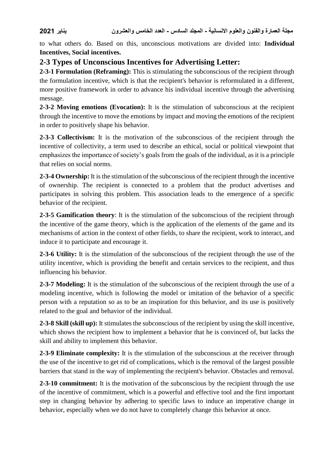to what others do. Based on this, unconscious motivations are divided into: **Individual Incentives, Social incentives.**

# **2-3 Types of Unconscious Incentives for Advertising Letter:**

**2-3-1 Formulation (Reframing):** This is stimulating the subconscious of the recipient through the formulation incentive, which is that the recipient's behavior is reformulated in a different, more positive framework in order to advance his individual incentive through the advertising message.

**2-3-2 Moving emotions (Evocation):** It is the stimulation of subconscious at the recipient through the incentive to move the emotions by impact and moving the emotions of the recipient in order to positively shape his behavior.

**2-3-3 Collectivism:** It is the motivation of the subconscious of the recipient through the incentive of collectivity, a term used to describe an ethical, social or political viewpoint that emphasizes the importance of society's goals from the goals of the individual, as it is a principle that relies on social norms.

**2-3-4 Ownership:** It is the stimulation of the subconscious of the recipient through the incentive of ownership. The recipient is connected to a problem that the product advertises and participates in solving this problem. This association leads to the emergence of a specific behavior of the recipient.

**2-3-5 Gamification theory**: It is the stimulation of the subconscious of the recipient through the incentive of the game theory, which is the application of the elements of the game and its mechanisms of action in the context of other fields, to share the recipient, work to interact, and induce it to participate and encourage it.

**2-3-6 Utility:** It is the stimulation of the subconscious of the recipient through the use of the utility incentive, which is providing the benefit and certain services to the recipient, and thus influencing his behavior.

**2-3-7 Modeling:** It is the stimulation of the subconscious of the recipient through the use of a modeling incentive, which is following the model or imitation of the behavior of a specific person with a reputation so as to be an inspiration for this behavior, and its use is positively related to the goal and behavior of the individual.

**2-3-8 Skill (skill up):** It stimulates the subconscious of the recipient by using the skill incentive, which shows the recipient how to implement a behavior that he is convinced of, but lacks the skill and ability to implement this behavior.

**2-3-9 Eliminate complexity:** It is the stimulation of the subconscious at the receiver through the use of the incentive to get rid of complications, which is the removal of the largest possible barriers that stand in the way of implementing the recipient's behavior. Obstacles and removal.

**2-3-10 commitment:** It is the motivation of the subconscious by the recipient through the use of the incentive of commitment, which is a powerful and effective tool and the first important step in changing behavior by adhering to specific laws to induce an imperative change in behavior, especially when we do not have to completely change this behavior at once.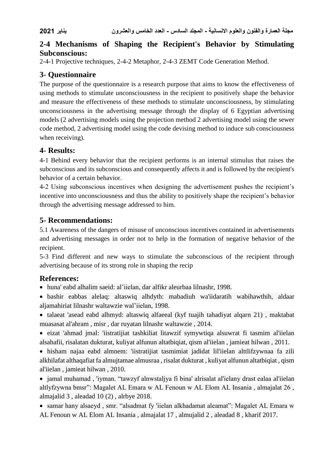# **2-4 Mechanisms of Shaping the Recipient's Behavior by Stimulating Subconscious:**

2-4-1 Projective techniques, 2-4-2 Metaphor, 2-4-3 ZEMT Code Generation Method.

# **3- Questionnaire**

The purpose of the questionnaire is a research purpose that aims to know the effectiveness of using methods to stimulate unconsciousness in the recipient to positively shape the behavior and measure the effectiveness of these methods to stimulate unconsciousness, by stimulating unconsciousness in the advertising message through the display of 6 Egyptian advertising models (2 advertising models using the projection method 2 advertising model using the sewer code method, 2 advertising model using the code devising method to induce sub consciousness when receiving).

# **4- Results:**

4-1 Behind every behavior that the recipient performs is an internal stimulus that raises the subconscious and its subconscious and consequently affects it and is followed by the recipient's behavior of a certain behavior.

4-2 Using subconscious incentives when designing the advertisement pushes the recipient's incentive into unconsciousness and thus the ability to positively shape the recipient's behavior through the advertising message addressed to him.

# **5- Recommendations:**

5.1 Awareness of the dangers of misuse of unconscious incentives contained in advertisements and advertising messages in order not to help in the formation of negative behavior of the recipient.

5-3 Find different and new ways to stimulate the subconscious of the recipient through advertising because of its strong role in shaping the recip

# **References:**

huna' eabd alhalim saeid: al'iielan, dar alfikr aleurbaa lilnashr, 1998.

 bashir eabbas alelaq: altaswiq alhdyth: mabadiuh wa'iidaratih wabihawthih, aldaar aljamahiriat lilnashr waltawzie wal'iielan, 1998.

 talaeat 'asead eabd alhmyd: altaswiq alfaeeal (kyf tuajih tahadiyat alqarn 21) , maktabat muasasat al'ahram , misr , dar ruyatan lilnashr waltawzie , 2014.

 eizat 'ahmad jmal: 'iistratijiat tashkiliat litawzif symywtiqa alsuwrat fi tasmim al'iielan alsahafii, risalatan dukturat, kuliyat alfunun altatbiqiat, qism al'iielan , jamieat hilwan , 2011.

 hisham najaa eabd almnem: 'iistratijiat tasmimiat jadidat lil'iielan alttlifzywnaa fa zili alkhilafat althaqafiat fa almujtamae almusraa , risalat dukturat , kuliyat alfunun altatbiqiat , qism al'iielan , jamieat hilwan , 2010.

 jamal muhamad , 'iyman. "tawzyf alnwstaljya fi bina' alrisalat al'ielany drast ealaa al'iielan altlyfzywna bmsr": Magalet AL Emara w AL Fenoun w AL Elom AL Insania , almajalat 26 , almajalid 3 , aleadad 10 (2) , alrbye 2018.

 samar hany alsaeyd , smr. "alsadmat fy 'iielan alkhadamat aleamat": Magalet AL Emara w AL Fenoun w AL Elom AL Insania , almajalat 17 , almujalid 2 , aleadad 8 , kharif 2017.